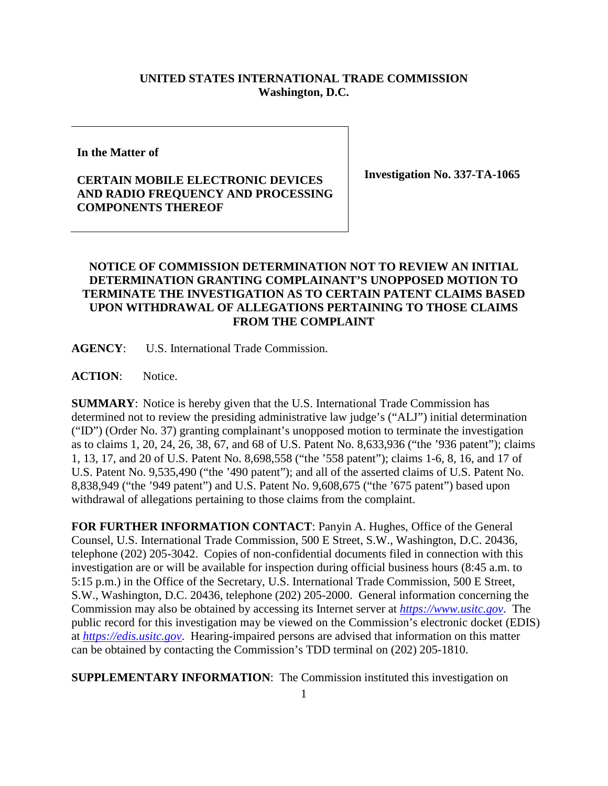## **UNITED STATES INTERNATIONAL TRADE COMMISSION Washington, D.C.**

**In the Matter of**

## **CERTAIN MOBILE ELECTRONIC DEVICES AND RADIO FREQUENCY AND PROCESSING COMPONENTS THEREOF**

**Investigation No. 337-TA-1065**

## **NOTICE OF COMMISSION DETERMINATION NOT TO REVIEW AN INITIAL DETERMINATION GRANTING COMPLAINANT'S UNOPPOSED MOTION TO TERMINATE THE INVESTIGATION AS TO CERTAIN PATENT CLAIMS BASED UPON WITHDRAWAL OF ALLEGATIONS PERTAINING TO THOSE CLAIMS FROM THE COMPLAINT**

**AGENCY**: U.S. International Trade Commission.

ACTION: Notice.

**SUMMARY**: Notice is hereby given that the U.S. International Trade Commission has determined not to review the presiding administrative law judge's ("ALJ") initial determination ("ID") (Order No. 37) granting complainant's unopposed motion to terminate the investigation as to claims 1, 20, 24, 26, 38, 67, and 68 of U.S. Patent No. 8,633,936 ("the '936 patent"); claims 1, 13, 17, and 20 of U.S. Patent No. 8,698,558 ("the '558 patent"); claims 1-6, 8, 16, and 17 of U.S. Patent No. 9,535,490 ("the '490 patent"); and all of the asserted claims of U.S. Patent No. 8,838,949 ("the '949 patent") and U.S. Patent No. 9,608,675 ("the '675 patent") based upon withdrawal of allegations pertaining to those claims from the complaint.

**FOR FURTHER INFORMATION CONTACT**: Panyin A. Hughes, Office of the General Counsel, U.S. International Trade Commission, 500 E Street, S.W., Washington, D.C. 20436, telephone (202) 205-3042. Copies of non-confidential documents filed in connection with this investigation are or will be available for inspection during official business hours (8:45 a.m. to 5:15 p.m.) in the Office of the Secretary, U.S. International Trade Commission, 500 E Street, S.W., Washington, D.C. 20436, telephone (202) 205-2000. General information concerning the Commission may also be obtained by accessing its Internet server at *[https://www.usitc.gov](https://www.usitc.gov/)*. The public record for this investigation may be viewed on the Commission's electronic docket (EDIS) at *[https://edis.usitc.gov](https://edis.usitc.gov/)*. Hearing-impaired persons are advised that information on this matter can be obtained by contacting the Commission's TDD terminal on (202) 205-1810.

**SUPPLEMENTARY INFORMATION:** The Commission instituted this investigation on